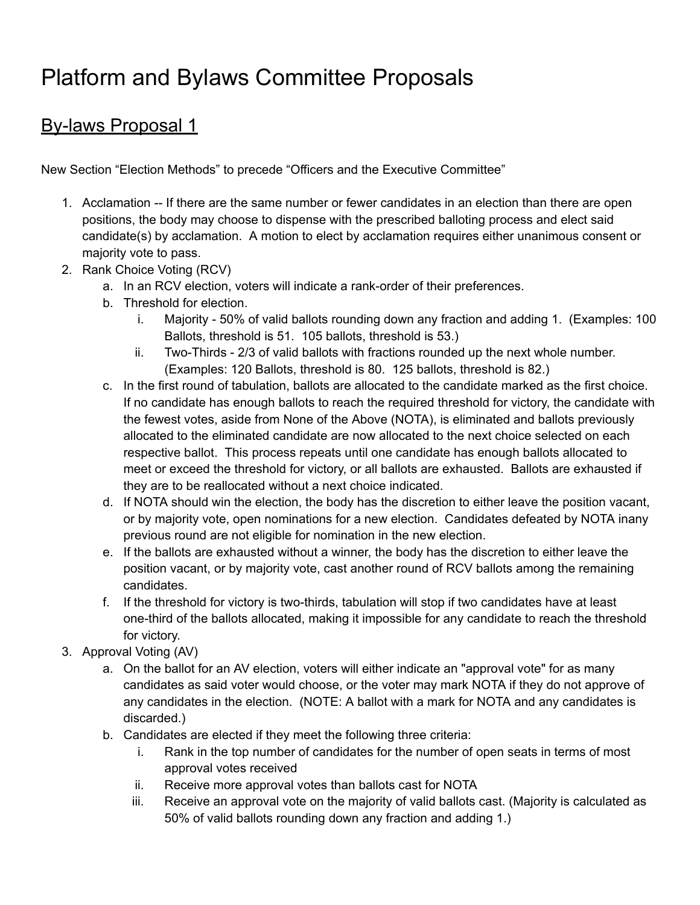# Platform and Bylaws Committee Proposals

## By-laws Proposal 1

New Section "Election Methods" to precede "Officers and the Executive Committee"

- 1. Acclamation -- If there are the same number or fewer candidates in an election than there are open positions, the body may choose to dispense with the prescribed balloting process and elect said candidate(s) by acclamation. A motion to elect by acclamation requires either unanimous consent or majority vote to pass.
- 2. Rank Choice Voting (RCV)
	- a. In an RCV election, voters will indicate a rank-order of their preferences.
	- b. Threshold for election.
		- i. Majority 50% of valid ballots rounding down any fraction and adding 1. (Examples: 100 Ballots, threshold is 51. 105 ballots, threshold is 53.)
		- ii. Two-Thirds 2/3 of valid ballots with fractions rounded up the next whole number. (Examples: 120 Ballots, threshold is 80. 125 ballots, threshold is 82.)
	- c. In the first round of tabulation, ballots are allocated to the candidate marked as the first choice. If no candidate has enough ballots to reach the required threshold for victory, the candidate with the fewest votes, aside from None of the Above (NOTA), is eliminated and ballots previously allocated to the eliminated candidate are now allocated to the next choice selected on each respective ballot. This process repeats until one candidate has enough ballots allocated to meet or exceed the threshold for victory, or all ballots are exhausted. Ballots are exhausted if they are to be reallocated without a next choice indicated.
	- d. If NOTA should win the election, the body has the discretion to either leave the position vacant, or by majority vote, open nominations for a new election. Candidates defeated by NOTA inany previous round are not eligible for nomination in the new election.
	- e. If the ballots are exhausted without a winner, the body has the discretion to either leave the position vacant, or by majority vote, cast another round of RCV ballots among the remaining candidates.
	- f. If the threshold for victory is two-thirds, tabulation will stop if two candidates have at least one-third of the ballots allocated, making it impossible for any candidate to reach the threshold for victory.
- 3. Approval Voting (AV)
	- a. On the ballot for an AV election, voters will either indicate an "approval vote" for as many candidates as said voter would choose, or the voter may mark NOTA if they do not approve of any candidates in the election. (NOTE: A ballot with a mark for NOTA and any candidates is discarded.)
	- b. Candidates are elected if they meet the following three criteria:
		- i. Rank in the top number of candidates for the number of open seats in terms of most approval votes received
		- ii. Receive more approval votes than ballots cast for NOTA
		- iii. Receive an approval vote on the majority of valid ballots cast. (Majority is calculated as 50% of valid ballots rounding down any fraction and adding 1.)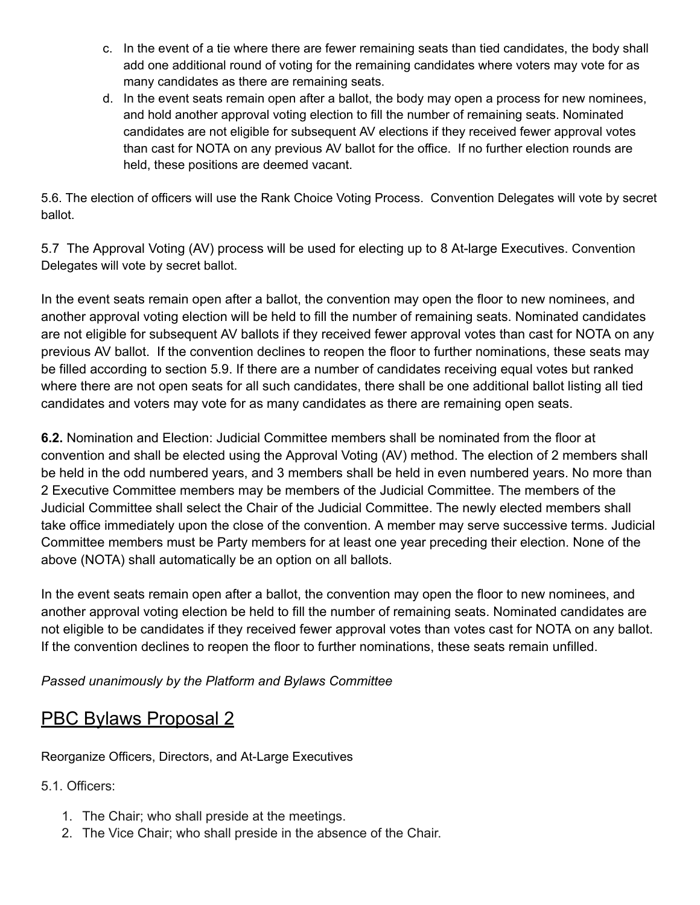- c. In the event of a tie where there are fewer remaining seats than tied candidates, the body shall add one additional round of voting for the remaining candidates where voters may vote for as many candidates as there are remaining seats.
- d. In the event seats remain open after a ballot, the body may open a process for new nominees, and hold another approval voting election to fill the number of remaining seats. Nominated candidates are not eligible for subsequent AV elections if they received fewer approval votes than cast for NOTA on any previous AV ballot for the office. If no further election rounds are held, these positions are deemed vacant.

5.6. The election of officers will use the Rank Choice Voting Process. Convention Delegates will vote by secret ballot.

5.7 The Approval Voting (AV) process will be used for electing up to 8 At-large Executives. Convention Delegates will vote by secret ballot.

In the event seats remain open after a ballot, the convention may open the floor to new nominees, and another approval voting election will be held to fill the number of remaining seats. Nominated candidates are not eligible for subsequent AV ballots if they received fewer approval votes than cast for NOTA on any previous AV ballot. If the convention declines to reopen the floor to further nominations, these seats may be filled according to section 5.9. If there are a number of candidates receiving equal votes but ranked where there are not open seats for all such candidates, there shall be one additional ballot listing all tied candidates and voters may vote for as many candidates as there are remaining open seats.

**6.2.** Nomination and Election: Judicial Committee members shall be nominated from the floor at convention and shall be elected using the Approval Voting (AV) method. The election of 2 members shall be held in the odd numbered years, and 3 members shall be held in even numbered years. No more than 2 Executive Committee members may be members of the Judicial Committee. The members of the Judicial Committee shall select the Chair of the Judicial Committee. The newly elected members shall take office immediately upon the close of the convention. A member may serve successive terms. Judicial Committee members must be Party members for at least one year preceding their election. None of the above (NOTA) shall automatically be an option on all ballots.

In the event seats remain open after a ballot, the convention may open the floor to new nominees, and another approval voting election be held to fill the number of remaining seats. Nominated candidates are not eligible to be candidates if they received fewer approval votes than votes cast for NOTA on any ballot. If the convention declines to reopen the floor to further nominations, these seats remain unfilled.

*Passed unanimously by the Platform and Bylaws Committee*

### PBC Bylaws Proposal 2

Reorganize Officers, Directors, and At-Large Executives

5.1. Officers:

- 1. The Chair; who shall preside at the meetings.
- 2. The Vice Chair; who shall preside in the absence of the Chair.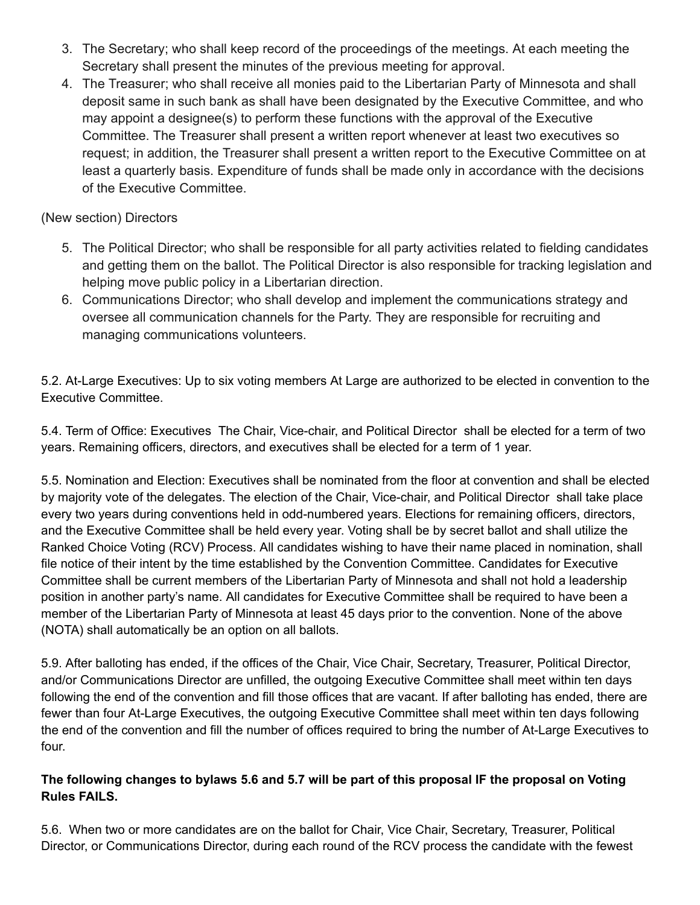- 3. The Secretary; who shall keep record of the proceedings of the meetings. At each meeting the Secretary shall present the minutes of the previous meeting for approval.
- 4. The Treasurer; who shall receive all monies paid to the Libertarian Party of Minnesota and shall deposit same in such bank as shall have been designated by the Executive Committee, and who may appoint a designee(s) to perform these functions with the approval of the Executive Committee. The Treasurer shall present a written report whenever at least two executives so request; in addition, the Treasurer shall present a written report to the Executive Committee on at least a quarterly basis. Expenditure of funds shall be made only in accordance with the decisions of the Executive Committee.

### (New section) Directors

- 5. The Political Director; who shall be responsible for all party activities related to fielding candidates and getting them on the ballot. The Political Director is also responsible for tracking legislation and helping move public policy in a Libertarian direction.
- 6. Communications Director; who shall develop and implement the communications strategy and oversee all communication channels for the Party. They are responsible for recruiting and managing communications volunteers.

5.2. At-Large Executives: Up to six voting members At Large are authorized to be elected in convention to the Executive Committee.

5.4. Term of Office: Executives The Chair, Vice-chair, and Political Director shall be elected for a term of two years. Remaining officers, directors, and executives shall be elected for a term of 1 year.

5.5. Nomination and Election: Executives shall be nominated from the floor at convention and shall be elected by majority vote of the delegates. The election of the Chair, Vice-chair, and Political Director shall take place every two years during conventions held in odd-numbered years. Elections for remaining officers, directors, and the Executive Committee shall be held every year. Voting shall be by secret ballot and shall utilize the Ranked Choice Voting (RCV) Process. All candidates wishing to have their name placed in nomination, shall file notice of their intent by the time established by the Convention Committee. Candidates for Executive Committee shall be current members of the Libertarian Party of Minnesota and shall not hold a leadership position in another party's name. All candidates for Executive Committee shall be required to have been a member of the Libertarian Party of Minnesota at least 45 days prior to the convention. None of the above (NOTA) shall automatically be an option on all ballots.

5.9. After balloting has ended, if the offices of the Chair, Vice Chair, Secretary, Treasurer, Political Director, and/or Communications Director are unfilled, the outgoing Executive Committee shall meet within ten days following the end of the convention and fill those offices that are vacant. If after balloting has ended, there are fewer than four At-Large Executives, the outgoing Executive Committee shall meet within ten days following the end of the convention and fill the number of offices required to bring the number of At-Large Executives to four.

### The following changes to bylaws 5.6 and 5.7 will be part of this proposal IF the proposal on Voting **Rules FAILS.**

5.6. When two or more candidates are on the ballot for Chair, Vice Chair, Secretary, Treasurer, Political Director, or Communications Director, during each round of the RCV process the candidate with the fewest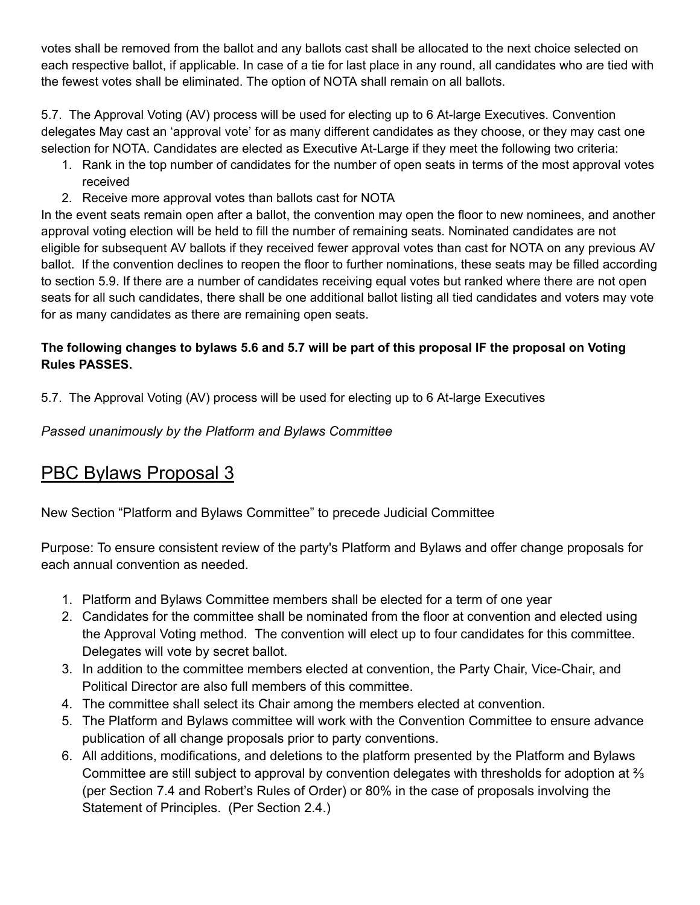votes shall be removed from the ballot and any ballots cast shall be allocated to the next choice selected on each respective ballot, if applicable. In case of a tie for last place in any round, all candidates who are tied with the fewest votes shall be eliminated. The option of NOTA shall remain on all ballots.

5.7. The Approval Voting (AV) process will be used for electing up to 6 At-large Executives. Convention delegates May cast an 'approval vote' for as many different candidates as they choose, or they may cast one selection for NOTA. Candidates are elected as Executive At-Large if they meet the following two criteria:

- 1. Rank in the top number of candidates for the number of open seats in terms of the most approval votes received
- 2. Receive more approval votes than ballots cast for NOTA

In the event seats remain open after a ballot, the convention may open the floor to new nominees, and another approval voting election will be held to fill the number of remaining seats. Nominated candidates are not eligible for subsequent AV ballots if they received fewer approval votes than cast for NOTA on any previous AV ballot. If the convention declines to reopen the floor to further nominations, these seats may be filled according to section 5.9. If there are a number of candidates receiving equal votes but ranked where there are not open seats for all such candidates, there shall be one additional ballot listing all tied candidates and voters may vote for as many candidates as there are remaining open seats.

### The following changes to bylaws 5.6 and 5.7 will be part of this proposal IF the proposal on Voting **Rules PASSES.**

5.7. The Approval Voting (AV) process will be used for electing up to 6 At-large Executives

*Passed unanimously by the Platform and Bylaws Committee*

## PBC Bylaws Proposal 3

New Section "Platform and Bylaws Committee" to precede Judicial Committee

Purpose: To ensure consistent review of the party's Platform and Bylaws and offer change proposals for each annual convention as needed.

- 1. Platform and Bylaws Committee members shall be elected for a term of one year
- 2. Candidates for the committee shall be nominated from the floor at convention and elected using the Approval Voting method. The convention will elect up to four candidates for this committee. Delegates will vote by secret ballot.
- 3. In addition to the committee members elected at convention, the Party Chair, Vice-Chair, and Political Director are also full members of this committee.
- 4. The committee shall select its Chair among the members elected at convention.
- 5. The Platform and Bylaws committee will work with the Convention Committee to ensure advance publication of all change proposals prior to party conventions.
- 6. All additions, modifications, and deletions to the platform presented by the Platform and Bylaws Committee are still subject to approval by convention delegates with thresholds for adoption at ⅔ (per Section 7.4 and Robert's Rules of Order) or 80% in the case of proposals involving the Statement of Principles. (Per Section 2.4.)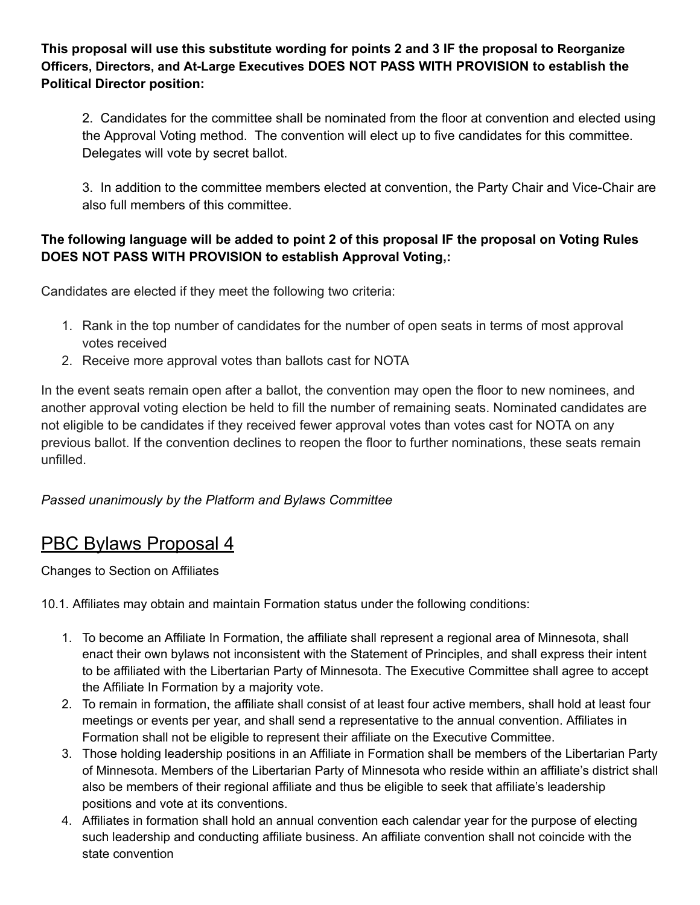**This proposal will use this substitute wording for points 2 and 3 IF the proposal to Reorganize Officers, Directors, and At-Large Executives DOES NOT PASS WITH PROVISION to establish the Political Director position:**

2. Candidates for the committee shall be nominated from the floor at convention and elected using the Approval Voting method. The convention will elect up to five candidates for this committee. Delegates will vote by secret ballot.

3. In addition to the committee members elected at convention, the Party Chair and Vice-Chair are also full members of this committee.

### **The following language will be added to point 2 of this proposal IF the proposal on Voting Rules DOES NOT PASS WITH PROVISION to establish Approval Voting,:**

Candidates are elected if they meet the following two criteria:

- 1. Rank in the top number of candidates for the number of open seats in terms of most approval votes received
- 2. Receive more approval votes than ballots cast for NOTA

In the event seats remain open after a ballot, the convention may open the floor to new nominees, and another approval voting election be held to fill the number of remaining seats. Nominated candidates are not eligible to be candidates if they received fewer approval votes than votes cast for NOTA on any previous ballot. If the convention declines to reopen the floor to further nominations, these seats remain unfilled.

*Passed unanimously by the Platform and Bylaws Committee*

## PBC Bylaws Proposal 4

Changes to Section on Affiliates

10.1. Affiliates may obtain and maintain Formation status under the following conditions:

- 1. To become an Affiliate In Formation, the affiliate shall represent a regional area of Minnesota, shall enact their own bylaws not inconsistent with the Statement of Principles, and shall express their intent to be affiliated with the Libertarian Party of Minnesota. The Executive Committee shall agree to accept the Affiliate In Formation by a majority vote.
- 2. To remain in formation, the affiliate shall consist of at least four active members, shall hold at least four meetings or events per year, and shall send a representative to the annual convention. Affiliates in Formation shall not be eligible to represent their affiliate on the Executive Committee.
- 3. Those holding leadership positions in an Affiliate in Formation shall be members of the Libertarian Party of Minnesota. Members of the Libertarian Party of Minnesota who reside within an affiliate's district shall also be members of their regional affiliate and thus be eligible to seek that affiliate's leadership positions and vote at its conventions.
- 4. Affiliates in formation shall hold an annual convention each calendar year for the purpose of electing such leadership and conducting affiliate business. An affiliate convention shall not coincide with the state convention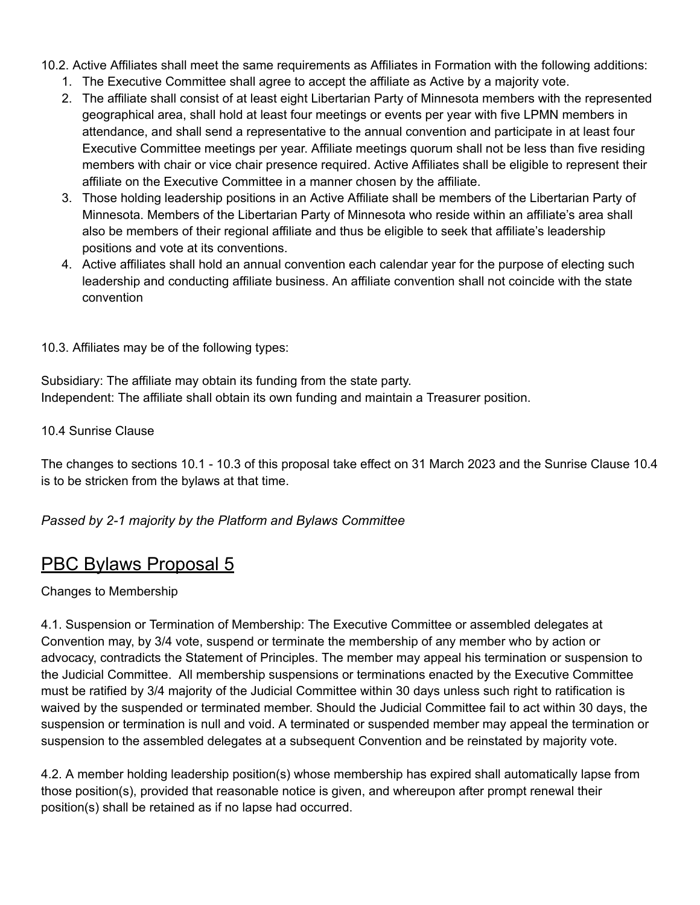- 10.2. Active Affiliates shall meet the same requirements as Affiliates in Formation with the following additions:
	- 1. The Executive Committee shall agree to accept the affiliate as Active by a majority vote.
	- 2. The affiliate shall consist of at least eight Libertarian Party of Minnesota members with the represented geographical area, shall hold at least four meetings or events per year with five LPMN members in attendance, and shall send a representative to the annual convention and participate in at least four Executive Committee meetings per year. Affiliate meetings quorum shall not be less than five residing members with chair or vice chair presence required. Active Affiliates shall be eligible to represent their affiliate on the Executive Committee in a manner chosen by the affiliate.
	- 3. Those holding leadership positions in an Active Affiliate shall be members of the Libertarian Party of Minnesota. Members of the Libertarian Party of Minnesota who reside within an affiliate's area shall also be members of their regional affiliate and thus be eligible to seek that affiliate's leadership positions and vote at its conventions.
	- 4. Active affiliates shall hold an annual convention each calendar year for the purpose of electing such leadership and conducting affiliate business. An affiliate convention shall not coincide with the state convention

10.3. Affiliates may be of the following types:

Subsidiary: The affiliate may obtain its funding from the state party. Independent: The affiliate shall obtain its own funding and maintain a Treasurer position.

10.4 Sunrise Clause

The changes to sections 10.1 - 10.3 of this proposal take effect on 31 March 2023 and the Sunrise Clause 10.4 is to be stricken from the bylaws at that time.

### *Passed by 2-1 majority by the Platform and Bylaws Committee*

### PBC Bylaws Proposal 5

#### Changes to Membership

4.1. Suspension or Termination of Membership: The Executive Committee or assembled delegates at Convention may, by 3/4 vote, suspend or terminate the membership of any member who by action or advocacy, contradicts the Statement of Principles. The member may appeal his termination or suspension to the Judicial Committee. All membership suspensions or terminations enacted by the Executive Committee must be ratified by 3/4 majority of the Judicial Committee within 30 days unless such right to ratification is waived by the suspended or terminated member. Should the Judicial Committee fail to act within 30 days, the suspension or termination is null and void. A terminated or suspended member may appeal the termination or suspension to the assembled delegates at a subsequent Convention and be reinstated by majority vote.

4.2. A member holding leadership position(s) whose membership has expired shall automatically lapse from those position(s), provided that reasonable notice is given, and whereupon after prompt renewal their position(s) shall be retained as if no lapse had occurred.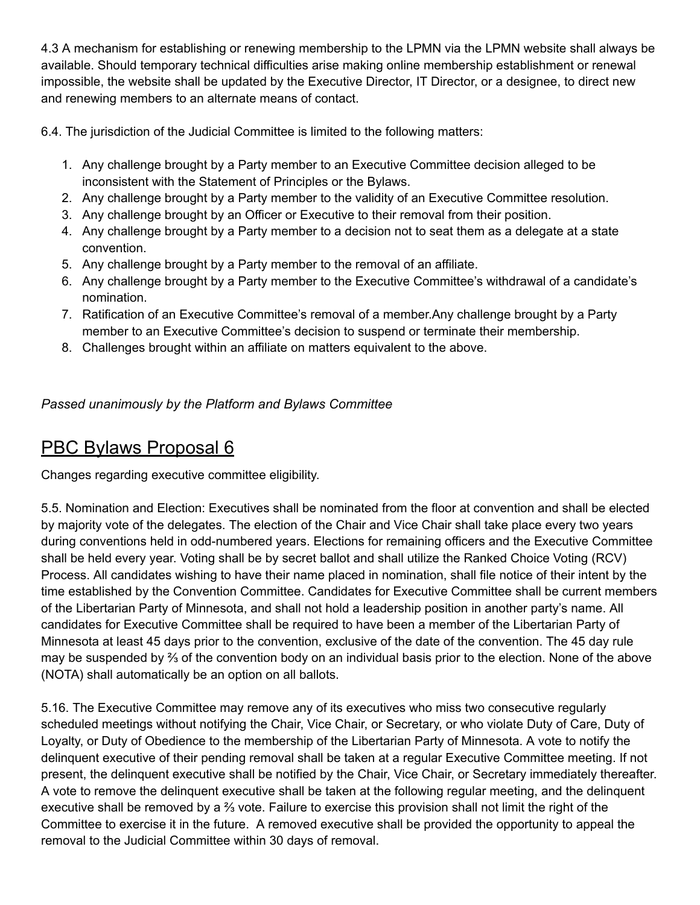4.3 A mechanism for establishing or renewing membership to the LPMN via the LPMN website shall always be available. Should temporary technical difficulties arise making online membership establishment or renewal impossible, the website shall be updated by the Executive Director, IT Director, or a designee, to direct new and renewing members to an alternate means of contact.

6.4. The jurisdiction of the Judicial Committee is limited to the following matters:

- 1. Any challenge brought by a Party member to an Executive Committee decision alleged to be inconsistent with the Statement of Principles or the Bylaws.
- 2. Any challenge brought by a Party member to the validity of an Executive Committee resolution.
- 3. Any challenge brought by an Officer or Executive to their removal from their position.
- 4. Any challenge brought by a Party member to a decision not to seat them as a delegate at a state convention.
- 5. Any challenge brought by a Party member to the removal of an affiliate.
- 6. Any challenge brought by a Party member to the Executive Committee's withdrawal of a candidate's nomination.
- 7. Ratification of an Executive Committee's removal of a member.Any challenge brought by a Party member to an Executive Committee's decision to suspend or terminate their membership.
- 8. Challenges brought within an affiliate on matters equivalent to the above.

*Passed unanimously by the Platform and Bylaws Committee*

### PBC Bylaws Proposal 6

Changes regarding executive committee eligibility.

5.5. Nomination and Election: Executives shall be nominated from the floor at convention and shall be elected by majority vote of the delegates. The election of the Chair and Vice Chair shall take place every two years during conventions held in odd-numbered years. Elections for remaining officers and the Executive Committee shall be held every year. Voting shall be by secret ballot and shall utilize the Ranked Choice Voting (RCV) Process. All candidates wishing to have their name placed in nomination, shall file notice of their intent by the time established by the Convention Committee. Candidates for Executive Committee shall be current members of the Libertarian Party of Minnesota, and shall not hold a leadership position in another party's name. All candidates for Executive Committee shall be required to have been a member of the Libertarian Party of Minnesota at least 45 days prior to the convention, exclusive of the date of the convention. The 45 day rule may be suspended by ⅔ of the convention body on an individual basis prior to the election. None of the above (NOTA) shall automatically be an option on all ballots.

5.16. The Executive Committee may remove any of its executives who miss two consecutive regularly scheduled meetings without notifying the Chair, Vice Chair, or Secretary, or who violate Duty of Care, Duty of Loyalty, or Duty of Obedience to the membership of the Libertarian Party of Minnesota. A vote to notify the delinquent executive of their pending removal shall be taken at a regular Executive Committee meeting. If not present, the delinquent executive shall be notified by the Chair, Vice Chair, or Secretary immediately thereafter. A vote to remove the delinquent executive shall be taken at the following regular meeting, and the delinquent executive shall be removed by a ⅔ vote. Failure to exercise this provision shall not limit the right of the Committee to exercise it in the future. A removed executive shall be provided the opportunity to appeal the removal to the Judicial Committee within 30 days of removal.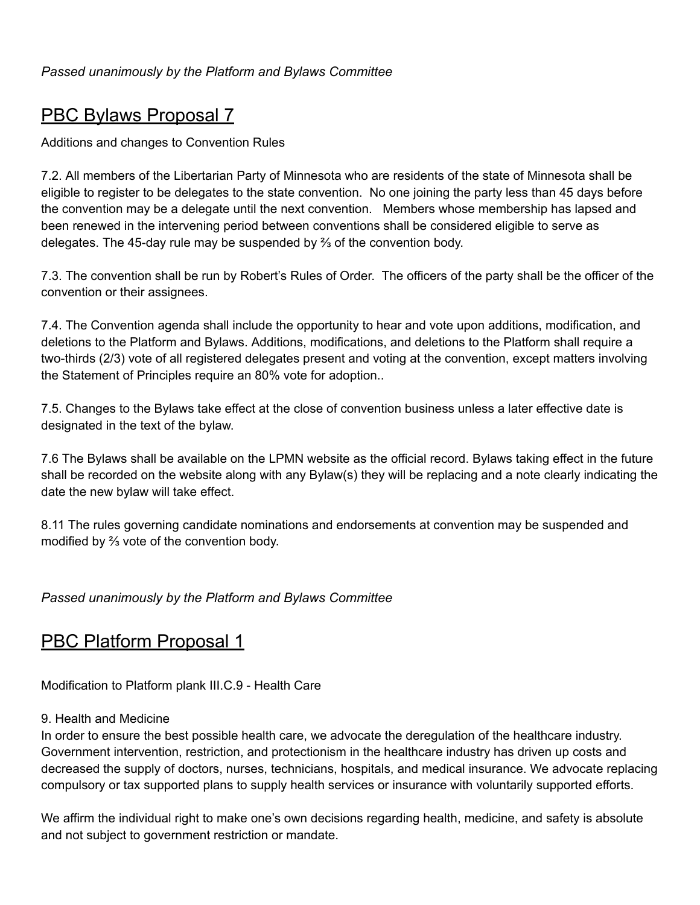## PBC Bylaws Proposal 7

Additions and changes to Convention Rules

7.2. All members of the Libertarian Party of Minnesota who are residents of the state of Minnesota shall be eligible to register to be delegates to the state convention. No one joining the party less than 45 days before the convention may be a delegate until the next convention. Members whose membership has lapsed and been renewed in the intervening period between conventions shall be considered eligible to serve as delegates. The 45-day rule may be suspended by ⅔ of the convention body.

7.3. The convention shall be run by Robert's Rules of Order. The officers of the party shall be the officer of the convention or their assignees.

7.4. The Convention agenda shall include the opportunity to hear and vote upon additions, modification, and deletions to the Platform and Bylaws. Additions, modifications, and deletions to the Platform shall require a two-thirds (2/3) vote of all registered delegates present and voting at the convention, except matters involving the Statement of Principles require an 80% vote for adoption..

7.5. Changes to the Bylaws take effect at the close of convention business unless a later effective date is designated in the text of the bylaw.

7.6 The Bylaws shall be available on the LPMN website as the official record. Bylaws taking effect in the future shall be recorded on the website along with any Bylaw(s) they will be replacing and a note clearly indicating the date the new bylaw will take effect.

8.11 The rules governing candidate nominations and endorsements at convention may be suspended and modified by ⅔ vote of the convention body.

*Passed unanimously by the Platform and Bylaws Committee*

## **PBC Platform Proposal 1**

Modification to Platform plank III.C.9 - Health Care

### 9. Health and Medicine

In order to ensure the best possible health care, we advocate the deregulation of the healthcare industry. Government intervention, restriction, and protectionism in the healthcare industry has driven up costs and decreased the supply of doctors, nurses, technicians, hospitals, and medical insurance. We advocate replacing compulsory or tax supported plans to supply health services or insurance with voluntarily supported efforts.

We affirm the individual right to make one's own decisions regarding health, medicine, and safety is absolute and not subject to government restriction or mandate.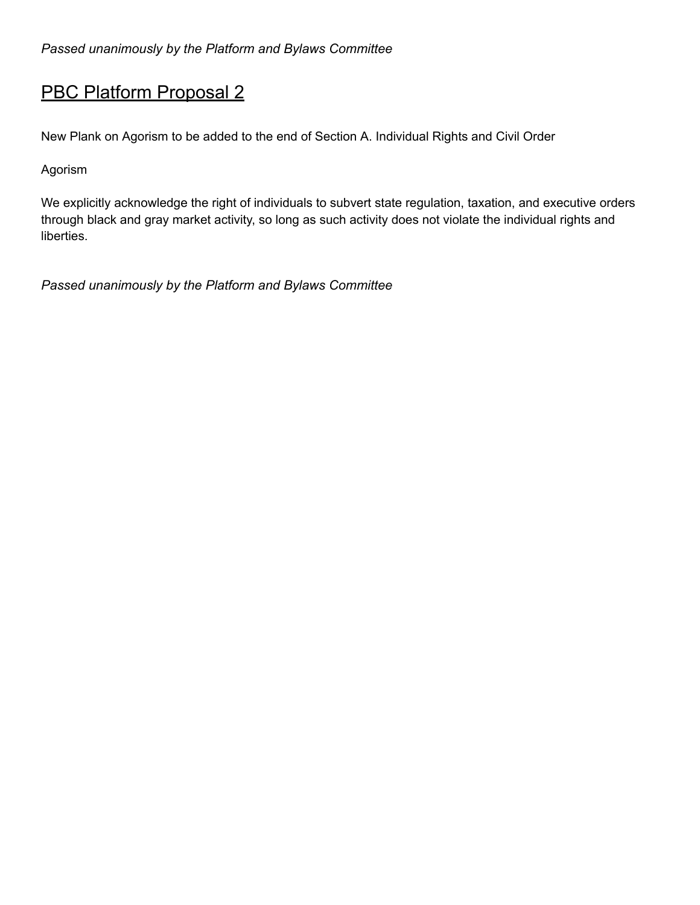## PBC Platform Proposal 2

New Plank on Agorism to be added to the end of Section A. Individual Rights and Civil Order

Agorism

We explicitly acknowledge the right of individuals to subvert state regulation, taxation, and executive orders through black and gray market activity, so long as such activity does not violate the individual rights and liberties.

*Passed unanimously by the Platform and Bylaws Committee*